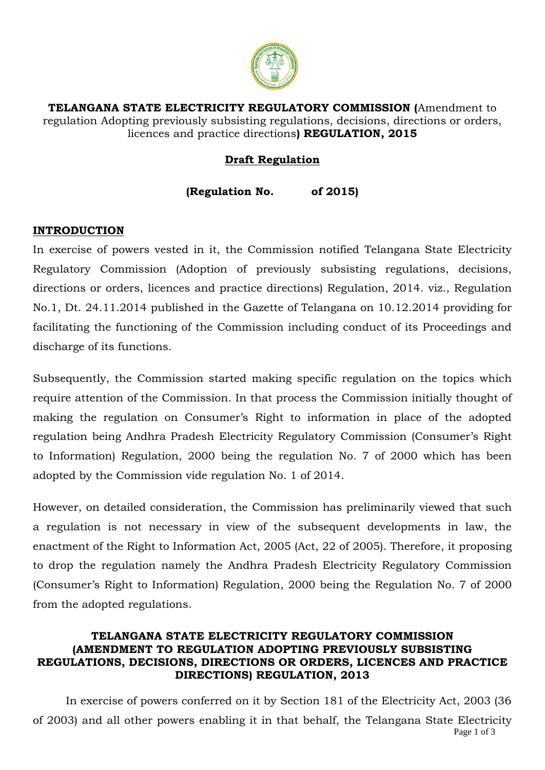

**TELANGANA STATE ELECTRICITY REGULATORY COMMISSION (**Amendment to regulation Adopting previously subsisting regulations, decisions, directions or orders, licences and practice directions**) REGULATION, 2015**

# **Draft Regulation**

**(Regulation No. of 2015)**

### **INTRODUCTION**

In exercise of powers vested in it, the Commission notified Telangana State Electricity Regulatory Commission (Adoption of previously subsisting regulations, decisions, directions or orders, licences and practice directions) Regulation, 2014. viz., Regulation No.1, Dt. 24.11.2014 published in the Gazette of Telangana on 10.12.2014 providing for facilitating the functioning of the Commission including conduct of its Proceedings and discharge of its functions.

Subsequently, the Commission started making specific regulation on the topics which require attention of the Commission. In that process the Commission initially thought of making the regulation on Consumer's Right to information in place of the adopted regulation being Andhra Pradesh Electricity Regulatory Commission (Consumer's Right to Information) Regulation, 2000 being the regulation No. 7 of 2000 which has been adopted by the Commission vide regulation No. 1 of 2014.

However, on detailed consideration, the Commission has preliminarily viewed that such a regulation is not necessary in view of the subsequent developments in law, the enactment of the Right to Information Act, 2005 (Act, 22 of 2005). Therefore, it proposing to drop the regulation namely the Andhra Pradesh Electricity Regulatory Commission (Consumer's Right to Information) Regulation, 2000 being the Regulation No. 7 of 2000 from the adopted regulations.

### **TELANGANA STATE ELECTRICITY REGULATORY COMMISSION (AMENDMENT TO REGULATION ADOPTING PREVIOUSLY SUBSISTING REGULATIONS, DECISIONS, DIRECTIONS OR ORDERS, LICENCES AND PRACTICE DIRECTIONS) REGULATION, 2013**

Page 1 of 3 In exercise of powers conferred on it by Section 181 of the Electricity Act, 2003 (36 of 2003) and all other powers enabling it in that behalf, the Telangana State Electricity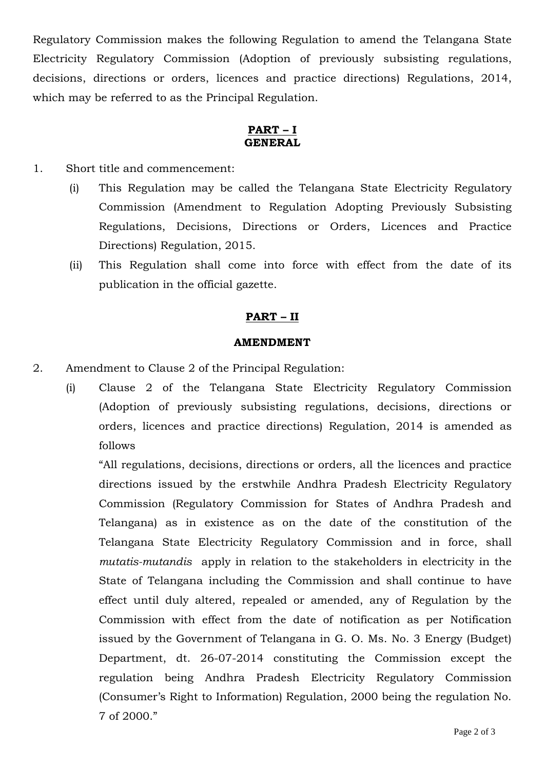Regulatory Commission makes the following Regulation to amend the Telangana State Electricity Regulatory Commission (Adoption of previously subsisting regulations, decisions, directions or orders, licences and practice directions) Regulations, 2014, which may be referred to as the Principal Regulation.

#### **PART – I GENERAL**

- 1. Short title and commencement:
	- (i) This Regulation may be called the Telangana State Electricity Regulatory Commission (Amendment to Regulation Adopting Previously Subsisting Regulations, Decisions, Directions or Orders, Licences and Practice Directions) Regulation, 2015.
	- (ii) This Regulation shall come into force with effect from the date of its publication in the official gazette.

### **PART – II**

#### **AMENDMENT**

- 2. Amendment to Clause 2 of the Principal Regulation:
	- (i) Clause 2 of the Telangana State Electricity Regulatory Commission (Adoption of previously subsisting regulations, decisions, directions or orders, licences and practice directions) Regulation, 2014 is amended as follows

"All regulations, decisions, directions or orders, all the licences and practice directions issued by the erstwhile Andhra Pradesh Electricity Regulatory Commission (Regulatory Commission for States of Andhra Pradesh and Telangana) as in existence as on the date of the constitution of the Telangana State Electricity Regulatory Commission and in force, shall *mutatis-mutandis* apply in relation to the stakeholders in electricity in the State of Telangana including the Commission and shall continue to have effect until duly altered, repealed or amended, any of Regulation by the Commission with effect from the date of notification as per Notification issued by the Government of Telangana in G. O. Ms. No. 3 Energy (Budget) Department, dt. 26-07-2014 constituting the Commission except the regulation being Andhra Pradesh Electricity Regulatory Commission (Consumer's Right to Information) Regulation, 2000 being the regulation No. 7 of 2000."